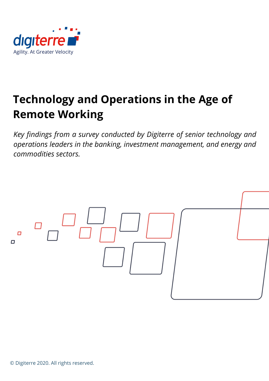

# **Technology and Operations in the Age of Remote Working**

*Key findings from a survey conducted by Digiterre of senior technology and operations leaders in the banking, investment management, and energy and commodities sectors.*

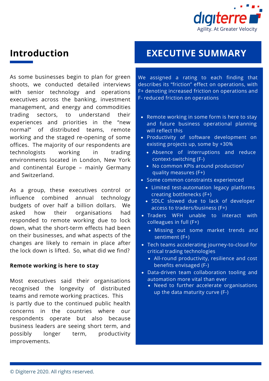

# **Introduction**

As some businesses begin to plan for green shoots, we conducted detailed interviews with senior technology and operations executives across the banking, investment management, and energy and commodities trading sectors, to understand their experiences and priorities in the "new normal" of distributed teams, remote working and the staged re-opening of some offices. The majority of our respondents are technologists working in trading environments located in London, New York and continental Europe – mainly Germany and Switzerland.

As a group, these executives control or influence combined annual technology budgets of over half a billion dollars. We asked how their organisations had responded to remote working due to lock down, what the short-term effects had been on their businesses, and what aspects of the changes are likely to remain in place after the lock down is lifted. So, what did we find?

#### **Remote working is here to stay**

Most executives said their organisations recognised the longevity of distributed teams and remote working practices. This is partly due to the continued public health concerns in the countries where our respondents operate but also because business leaders are seeing short term, and possibly longer term, productivity improvements.

# **EXECUTIVE SUMMARY**

We assigned a rating to each finding that describes its "friction" effect on operations, with F+ denoting increased friction on operations and F- reduced friction on operations

- Remote working in some form is here to stay and future business operational planning will reflect this
- Productivity of software development on existing projects up, some by +30%
	- Absence of interruptions and reduce context-switching (F-)
	- No common KPIs around production/ quality measures (F+)
- Some common constraints experienced
	- Limited test-automation legacy platforms creating bottlenecks (F+)
	- SDLC slowed due to lack of developer access to traders/business (F+)
- Traders WFH unable to interact with colleagues in full (F+)
	- Missing out some market trends and sentiment (F+)
- Tech teams accelerating journey-to-cloud for critical trading technologies
	- All-round productivity, resilience and cost benefits envisaged (F-)
- Data-driven team collaboration tooling and automation more vital than ever
	- Need to further accelerate organisations up the data maturity curve (F-)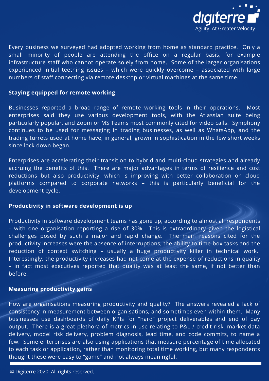

Every business we surveyed had adopted working from home as standard practice. Only a small minority of people are attending the office on a regular basis, for example infrastructure staff who cannot operate solely from home. Some of the larger organisations experienced initial teething issues – which were quickly overcome – associated with large numbers of staff connecting via remote desktop or virtual machines at the same time.

#### **Staying equipped for remote working**

Businesses reported a broad range of remote working tools in their operations. Most enterprises said they use various development tools, with the Atlassian suite being particularly popular, and Zoom or MS Teams most commonly cited for video calls. Symphony continues to be used for messaging in trading businesses, as well as WhatsApp, and the trading turrets used at home have, in general, grown in sophistication in the few short weeks since lock down began.

Enterprises are accelerating their transition to hybrid and multi-cloud strategies and already accruing the benefits of this. There are major advantages in terms of resilience and cost reductions but also productivity, which is improving with better collaboration on cloud platforms compared to corporate networks – this is particularly beneficial for the development cycle.

## **Productivity in software development is up**

Productivity in software development teams has gone up, according to almost all respondents – with one organisation reporting a rise of 30%. This is extraordinary given the logistical challenges posed by such a major and rapid change. The main reasons cited for the productivity increases were the absence of interruptions, the ability to time-box tasks and the reduction of context switching – usually a huge productivity killer in technical work. Interestingly, the productivity increases had not come at the expense of reductions in quality – in fact most executives reported that quality was at least the same, if not better than before.

#### **Measuring productivity gains**

How are organisations measuring productivity and quality? The answers revealed a lack of consistency in measurement between organisations, and sometimes even within them. Many businesses use dashboards of daily KPIs for "hard" project deliverables and end of day output. There is a great plethora of metrics in use relating to P&L / credit risk, market data delivery, model risk delivery, problem diagnosis, lead time, and code commits, to name a few. Some enterprises are also using applications that measure percentage of time allocated to each task or application, rather than monitoring total time working, but many respondents thought these were easy to "game" and not always meaningful.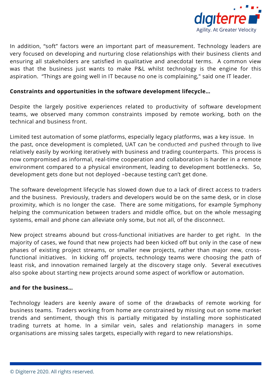

In addition, "soft" factors were an important part of measurement. Technology leaders are very focused on developing and nurturing close relationships with their business clients and ensuring all stakeholders are satisfied in qualitative and anecdotal terms. A common view was that the business just wants to make P&L whilst technology is the engine for this aspiration. "Things are going well in IT because no one is complaining," said one IT leader.

# **Constraints and opportunities in the software development lifecycle…**

Despite the largely positive experiences related to productivity of software development teams, we observed many common constraints imposed by remote working, both on the technical and business front.

Limited test automation of some platforms, especially legacy platforms, was a key issue. In the past, once development is completed, UAT can be conducted and pushed through to live relatively easily by working iteratively with business and trading counterparts. This process is now compromised as informal, real-time cooperation and collaboration is harder in a remote environment compared to a physical environment, leading to development bottlenecks. So, development gets done but not deployed –because testing can't get done.

The software development lifecycle has slowed down due to a lack of direct access to traders and the business. Previously, traders and developers would be on the same desk, or in close proximity, which is no longer the case. There are some mitigations, for example Symphony helping the communication between traders and middle office, but on the whole messaging systems, email and phone can alleviate only some, but not all, of the disconnect.

New project streams abound but cross-functional initiatives are harder to get right. In the majority of cases, we found that new projects had been kicked off but only in the case of new phases of existing project streams, or smaller new projects, rather than major new, crossfunctional initiatives. In kicking off projects, technology teams were choosing the path of least risk, and innovation remained largely at the discovery stage only. Several executives also spoke about starting new projects around some aspect of workflow or automation.

## **and for the business…**

Technology leaders are keenly aware of some of the drawbacks of remote working for business teams. Traders working from home are constrained by missing out on some market trends and sentiment, though this is partially mitigated by installing more sophisticated trading turrets at home. In a similar vein, sales and relationship managers in some organisations are missing sales targets, especially with regard to new relationships.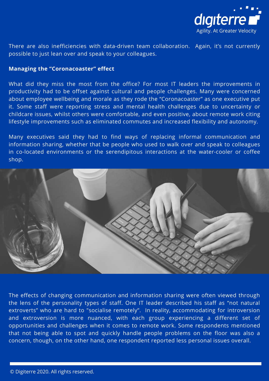

There are also inefficiencies with data-driven team collaboration. Again, it's not currently possible to just lean over and speak to your colleagues.

#### **Managing the "Coronacoaster" effect**

What did they miss the most from the office? For most IT leaders the improvements in productivity had to be offset against cultural and people challenges. Many were concerned about employee wellbeing and morale as they rode the "Coronacoaster" as one executive put it. Some staff were reporting stress and mental health challenges due to uncertainty or childcare issues, whilst others were comfortable, and even positive, about remote work citing lifestyle improvements such as eliminated commutes and increased flexibility and autonomy.

Many executives said they had to find ways of replacing informal communication and information sharing, whether that be people who used to walk over and speak to colleagues in co-located environments or the serendipitous interactions at the water-cooler or coffee shop.



The effects of changing communication and information sharing were often viewed through the lens of the personality types of staff. One IT leader described his staff as "not natural extroverts" who are hard to "socialise remotely". In reality, accommodating for introversion and extroversion is more nuanced, with each group experiencing a different set of opportunities and challenges when it comes to remote work. Some respondents mentioned that not being able to spot and quickly handle people problems on the floor was also a concern, though, on the other hand, one respondent reported less personal issues overall.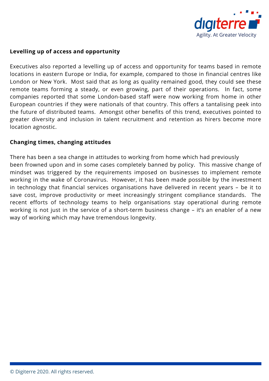

# **Levelling up of access and opportunity**

Executives also reported a levelling up of access and opportunity for teams based in remote locations in eastern Europe or India, for example, compared to those in financial centres like London or New York. Most said that as long as quality remained good, they could see these remote teams forming a steady, or even growing, part of their operations. In fact, some companies reported that some London-based staff were now working from home in other European countries if they were nationals of that country. This offers a tantalising peek into the future of distributed teams. Amongst other benefits of this trend, executives pointed to greater diversity and inclusion in talent recruitment and retention as hirers become more location agnostic.

## **Changing times, changing attitudes**

There has been a sea change in attitudes to working from home which had previously been frowned upon and in some cases completely banned by policy. This massive change of mindset was triggered by the requirements imposed on businesses to implement remote working in the wake of Coronavirus. However, it has been made possible by the investment in technology that financial services organisations have delivered in recent years – be it to save cost, improve productivity or meet increasingly stringent compliance standards. The recent efforts of technology teams to help organisations stay operational during remote working is not just in the service of a short-term business change – it's an enabler of a new way of working which may have tremendous longevity.